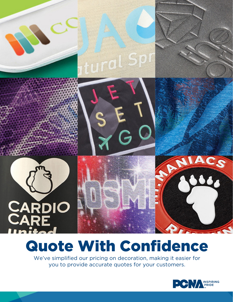# tural Spr



# Quote With Confidence

We've simplified our pricing on decoration, making it easier for you to provide accurate quotes for your customers.



TAIACS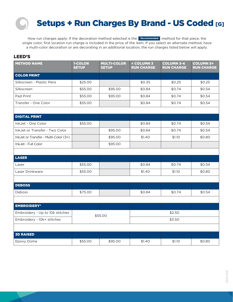### Setups + Run Charges By Brand - US Coded [G]

How run charges apply: If the decoration method selected is the **Recommended** method for that piece, the single color, first location run charge is included in the price of the item. If you select an alternate method, have a multi-color decoration or are decorating in an additional location, the run charges listed below will apply.

### LEED'S

| <b>METHOD NAME</b>                    | 1-COLOR<br><b>SETUP</b> | <b>MULTI-COLOR</b><br><b>SETUP</b> | < COLUMN 3<br><b>RUN CHARGE</b> | <b>COLUMN 3-4</b><br><b>RUN CHARGE</b> | <b>COLUMN 5+</b><br><b>RUN CHARGE</b> |
|---------------------------------------|-------------------------|------------------------------------|---------------------------------|----------------------------------------|---------------------------------------|
| <b>COLOR PRINT</b>                    |                         |                                    |                                 |                                        |                                       |
| Silkscreen - Plastic Pens             | \$25.00                 |                                    | \$0.35                          | \$0.25                                 | \$0.25                                |
| Silkscreen                            | \$55.00                 | \$95.00                            | \$0.84                          | \$0.74                                 | \$0.54                                |
| Pad Print                             | \$55.00                 | \$95.00                            | \$0.84                          | \$0.74                                 | \$0.54                                |
| Transfer - One Color                  | \$55.00                 |                                    | \$0.84                          | \$0.74                                 | \$0.54                                |
|                                       |                         |                                    |                                 |                                        |                                       |
| <b>DIGITAL PRINT</b>                  |                         |                                    |                                 |                                        |                                       |
| InkJet - One Color                    | \$55.00                 |                                    | \$0.84                          | \$0.74                                 | \$0.54                                |
| InkJet or Transfer - Two Color        |                         | \$95.00                            | \$0.84                          | \$0.74                                 | \$0.54                                |
| InkJet or Transfer - Multi-Color (3+) |                         | \$95.00                            | \$1.40                          | \$1.10                                 | \$0.80                                |
| InkJet - Full Color                   |                         | \$95.00                            |                                 |                                        |                                       |
|                                       |                         |                                    |                                 |                                        |                                       |
| <b>LASER</b>                          |                         |                                    |                                 |                                        |                                       |
| Laser                                 | \$55.00                 |                                    | \$0.84                          | \$0.74                                 | \$0.54                                |
| Laser Drinkware                       | \$55.00                 |                                    | \$1.40                          | \$1.10                                 | \$0.80                                |
|                                       |                         |                                    |                                 |                                        |                                       |
| <b>DEBOSS</b>                         |                         |                                    |                                 |                                        |                                       |
| Deboss                                | \$75.00                 |                                    | \$0.84                          | \$0.74                                 | \$0.54                                |
|                                       |                         |                                    |                                 |                                        |                                       |
| <b>EMBROIDERY*</b>                    |                         |                                    |                                 |                                        |                                       |
| Embroidery - Up to 10k stitches       | \$55.00                 |                                    |                                 | \$2.50                                 |                                       |
| Embroidery - 10k+ stitches            |                         |                                    | \$3.50                          |                                        |                                       |
|                                       |                         |                                    |                                 |                                        |                                       |
| <b>3D RAISED</b>                      |                         |                                    |                                 |                                        |                                       |
| Epoxy Dome                            | \$55.00                 | \$95.00                            | \$1.40                          | \$1.10                                 | \$0.80                                |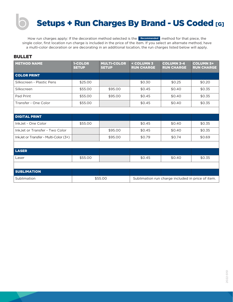# Setups + Run Charges By Brand - US Coded [G]

How run charges apply: If the decoration method selected is the **Recommended** method for that piece, the single color, first location run charge is included in the price of the item. If you select an alternate method, have a multi-color decoration or are decorating in an additional location, the run charges listed below will apply.

### BULLET

| <b>METHOD NAME</b>                    | 1-COLOR<br><b>SETUP</b> | <b>MULTI-COLOR</b><br><b>SETUP</b> | < COLUMN 3<br><b>RUN CHARGE</b>                   | <b>COLUMN 3-4</b><br><b>RUN CHARGE</b> | <b>COLUMN 5+</b><br><b>RUN CHARGE</b> |
|---------------------------------------|-------------------------|------------------------------------|---------------------------------------------------|----------------------------------------|---------------------------------------|
| <b>COLOR PRINT</b>                    |                         |                                    |                                                   |                                        |                                       |
| Silkscreen - Plastic Pens             | \$25.00                 |                                    | \$0.30                                            | \$0.25                                 | \$0.20                                |
| Silkscreen                            | \$55.00                 | \$95.00                            | \$0.45                                            | \$0.40                                 | \$0.35                                |
| Pad Print                             | \$55.00                 | \$95.00                            | \$0.45                                            | \$0.40                                 | \$0.35                                |
| Transfer - One Color                  | \$55.00                 |                                    | \$0.45                                            | \$0.40                                 | \$0.35                                |
|                                       |                         |                                    |                                                   |                                        |                                       |
| <b>DIGITAL PRINT</b>                  |                         |                                    |                                                   |                                        |                                       |
| InkJet - One Color                    | \$55.00                 |                                    | \$0.45                                            | \$0.40                                 | \$0.35                                |
| InkJet or Transfer - Two Color        |                         | \$95.00                            | \$0.45                                            | \$0.40                                 | \$0.35                                |
| InkJet or Transfer - Multi-Color (3+) |                         | \$95.00                            | \$0.79                                            | \$0.74                                 | \$0.69                                |
|                                       |                         |                                    |                                                   |                                        |                                       |
| <b>LASER</b>                          |                         |                                    |                                                   |                                        |                                       |
| Laser                                 | \$55.00                 |                                    | \$0.45                                            | \$0.40                                 | \$0.35                                |
|                                       |                         |                                    |                                                   |                                        |                                       |
| <b>SUBLIMATION</b>                    |                         |                                    |                                                   |                                        |                                       |
| Sublimation                           | \$55.00                 |                                    | Sublimation run charge included in price of item. |                                        |                                       |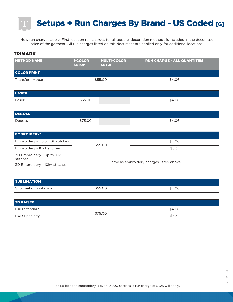## Setups + Run Charges By Brand - US Coded [G]

How run charges apply: First location run charges for all apparel decoration methods is included in the decorated price of the garment. All run charges listed on this document are applied only for additional locations.

#### TRIMARK

| <b>METHOD NAME</b>                    | 1-COLOR<br><b>SETUP</b>                  | <b>MULTI-COLOR</b><br><b>SETUP</b> |        | <b>RUN CHARGE - ALL QUANTITIES</b> |
|---------------------------------------|------------------------------------------|------------------------------------|--------|------------------------------------|
| <b>COLOR PRINT</b>                    |                                          |                                    |        |                                    |
| Transfer - Apparel                    |                                          | \$55.00                            |        | \$4.06                             |
|                                       |                                          |                                    |        |                                    |
| <b>LASER</b>                          |                                          |                                    |        |                                    |
| Laser                                 | \$55.00                                  |                                    |        | \$4.06                             |
|                                       |                                          |                                    |        |                                    |
| <b>DEBOSS</b>                         |                                          |                                    |        |                                    |
| Deboss                                | \$75.00                                  |                                    |        | \$4.06                             |
|                                       |                                          |                                    |        |                                    |
| <b>EMBROIDERY*</b>                    |                                          |                                    |        |                                    |
| Embroidery - Up to 10k stitches       |                                          | \$55.00                            |        | \$4.06                             |
| Embroidery - 10k+ stitches            |                                          |                                    |        | \$5.31                             |
| 3D Embroidery - Up to 10k<br>stitches |                                          |                                    |        |                                    |
| 3D Embroidery - 10k+ stitches         | Same as embroidery charges listed above. |                                    |        |                                    |
|                                       |                                          |                                    |        |                                    |
| <b>SUBLIMATION</b>                    |                                          |                                    |        |                                    |
| Sublimation - inFusion                |                                          | \$55.00                            |        | \$4.06                             |
|                                       |                                          |                                    |        |                                    |
| <b>3D RAISED</b>                      |                                          |                                    |        |                                    |
| <b>HXD Standard</b>                   |                                          |                                    |        | \$4.06                             |
| <b>HXD Specialty</b>                  | \$75.00                                  |                                    | \$5.31 |                                    |